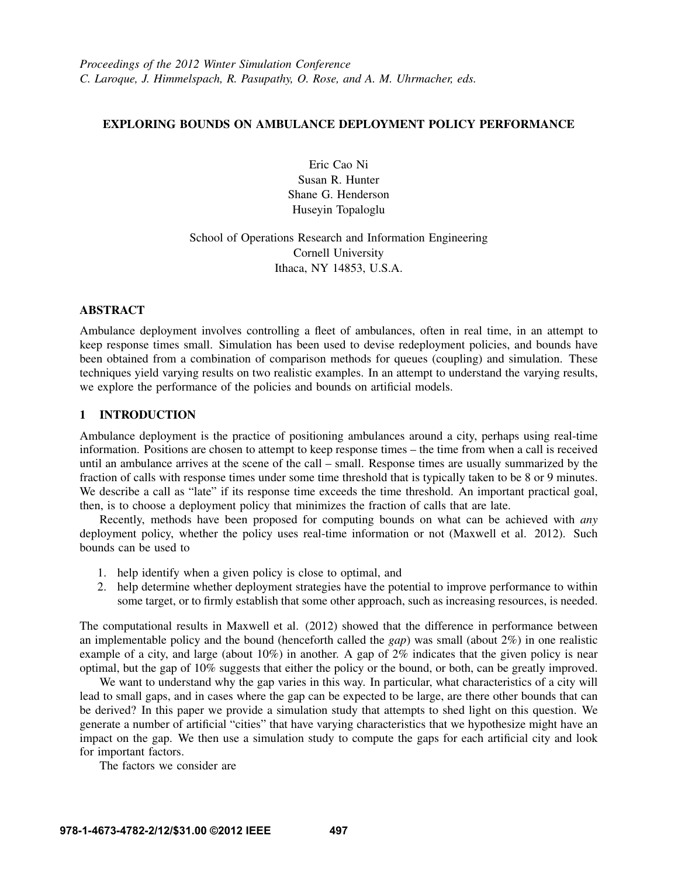# EXPLORING BOUNDS ON AMBULANCE DEPLOYMENT POLICY PERFORMANCE

Eric Cao Ni Susan R. Hunter Shane G. Henderson Huseyin Topaloglu

School of Operations Research and Information Engineering Cornell University Ithaca, NY 14853, U.S.A.

## ABSTRACT

Ambulance deployment involves controlling a fleet of ambulances, often in real time, in an attempt to keep response times small. Simulation has been used to devise redeployment policies, and bounds have been obtained from a combination of comparison methods for queues (coupling) and simulation. These techniques yield varying results on two realistic examples. In an attempt to understand the varying results, we explore the performance of the policies and bounds on artificial models.

# 1 INTRODUCTION

Ambulance deployment is the practice of positioning ambulances around a city, perhaps using real-time information. Positions are chosen to attempt to keep response times – the time from when a call is received until an ambulance arrives at the scene of the call – small. Response times are usually summarized by the fraction of calls with response times under some time threshold that is typically taken to be 8 or 9 minutes. We describe a call as "late" if its response time exceeds the time threshold. An important practical goal, then, is to choose a deployment policy that minimizes the fraction of calls that are late.

Recently, methods have been proposed for computing bounds on what can be achieved with *any* deployment policy, whether the policy uses real-time information or not (Maxwell et al. 2012). Such bounds can be used to

- 1. help identify when a given policy is close to optimal, and
- 2. help determine whether deployment strategies have the potential to improve performance to within some target, or to firmly establish that some other approach, such as increasing resources, is needed.

The computational results in Maxwell et al. (2012) showed that the difference in performance between an implementable policy and the bound (henceforth called the *gap*) was small (about 2%) in one realistic example of a city, and large (about  $10\%$ ) in another. A gap of 2% indicates that the given policy is near optimal, but the gap of 10% suggests that either the policy or the bound, or both, can be greatly improved.

We want to understand why the gap varies in this way. In particular, what characteristics of a city will lead to small gaps, and in cases where the gap can be expected to be large, are there other bounds that can be derived? In this paper we provide a simulation study that attempts to shed light on this question. We generate a number of artificial "cities" that have varying characteristics that we hypothesize might have an impact on the gap. We then use a simulation study to compute the gaps for each artificial city and look for important factors.

The factors we consider are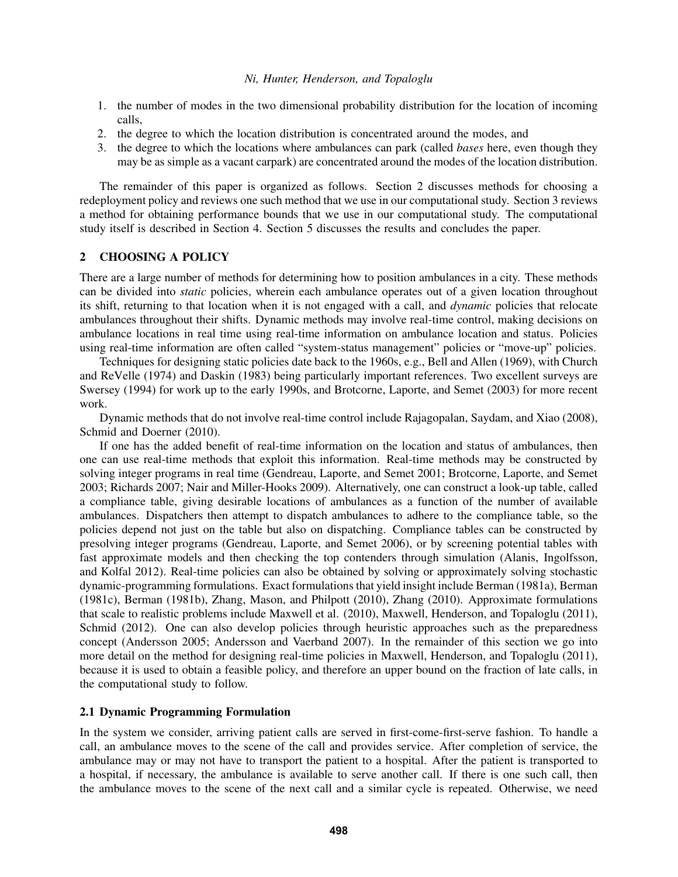- 1. the number of modes in the two dimensional probability distribution for the location of incoming calls,
- 2. the degree to which the location distribution is concentrated around the modes, and
- 3. the degree to which the locations where ambulances can park (called *bases* here, even though they may be as simple as a vacant carpark) are concentrated around the modes of the location distribution.

The remainder of this paper is organized as follows. Section 2 discusses methods for choosing a redeployment policy and reviews one such method that we use in our computational study. Section 3 reviews a method for obtaining performance bounds that we use in our computational study. The computational study itself is described in Section 4. Section 5 discusses the results and concludes the paper.

# 2 CHOOSING A POLICY

There are a large number of methods for determining how to position ambulances in a city. These methods can be divided into *static* policies, wherein each ambulance operates out of a given location throughout its shift, returning to that location when it is not engaged with a call, and *dynamic* policies that relocate ambulances throughout their shifts. Dynamic methods may involve real-time control, making decisions on ambulance locations in real time using real-time information on ambulance location and status. Policies using real-time information are often called "system-status management" policies or "move-up" policies.

Techniques for designing static policies date back to the 1960s, e.g., Bell and Allen (1969), with Church and ReVelle (1974) and Daskin (1983) being particularly important references. Two excellent surveys are Swersey (1994) for work up to the early 1990s, and Brotcorne, Laporte, and Semet (2003) for more recent work.

Dynamic methods that do not involve real-time control include Rajagopalan, Saydam, and Xiao (2008), Schmid and Doerner (2010).

If one has the added benefit of real-time information on the location and status of ambulances, then one can use real-time methods that exploit this information. Real-time methods may be constructed by solving integer programs in real time (Gendreau, Laporte, and Semet 2001; Brotcorne, Laporte, and Semet 2003; Richards 2007; Nair and Miller-Hooks 2009). Alternatively, one can construct a look-up table, called a compliance table, giving desirable locations of ambulances as a function of the number of available ambulances. Dispatchers then attempt to dispatch ambulances to adhere to the compliance table, so the policies depend not just on the table but also on dispatching. Compliance tables can be constructed by presolving integer programs (Gendreau, Laporte, and Semet 2006), or by screening potential tables with fast approximate models and then checking the top contenders through simulation (Alanis, Ingolfsson, and Kolfal 2012). Real-time policies can also be obtained by solving or approximately solving stochastic dynamic-programming formulations. Exact formulations that yield insight include Berman (1981a), Berman (1981c), Berman (1981b), Zhang, Mason, and Philpott (2010), Zhang (2010). Approximate formulations that scale to realistic problems include Maxwell et al. (2010), Maxwell, Henderson, and Topaloglu (2011), Schmid (2012). One can also develop policies through heuristic approaches such as the preparedness concept (Andersson 2005; Andersson and Vaerband 2007). In the remainder of this section we go into more detail on the method for designing real-time policies in Maxwell, Henderson, and Topaloglu (2011), because it is used to obtain a feasible policy, and therefore an upper bound on the fraction of late calls, in the computational study to follow.

# 2.1 Dynamic Programming Formulation

In the system we consider, arriving patient calls are served in first-come-first-serve fashion. To handle a call, an ambulance moves to the scene of the call and provides service. After completion of service, the ambulance may or may not have to transport the patient to a hospital. After the patient is transported to a hospital, if necessary, the ambulance is available to serve another call. If there is one such call, then the ambulance moves to the scene of the next call and a similar cycle is repeated. Otherwise, we need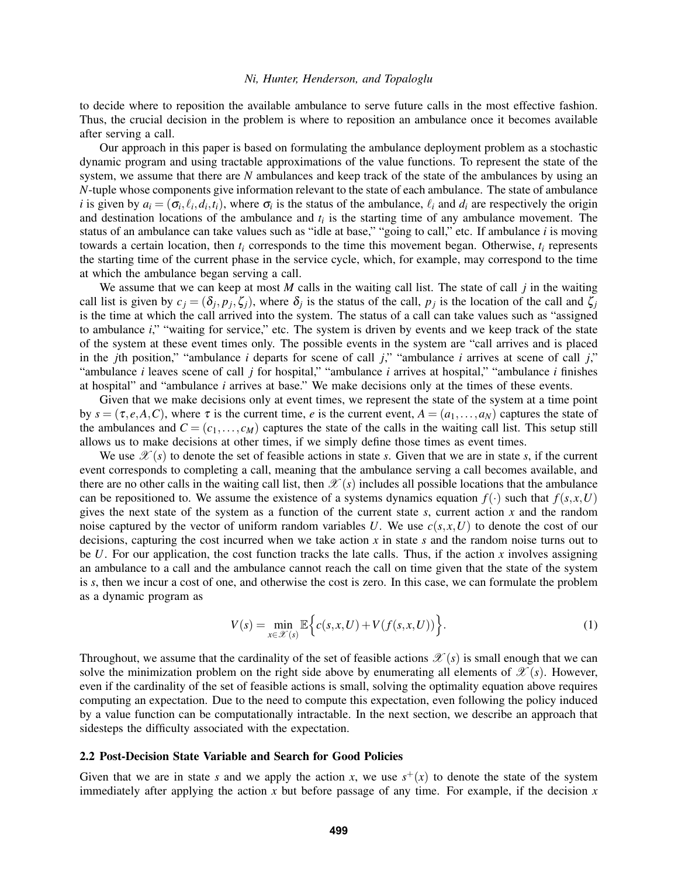to decide where to reposition the available ambulance to serve future calls in the most effective fashion. Thus, the crucial decision in the problem is where to reposition an ambulance once it becomes available after serving a call.

Our approach in this paper is based on formulating the ambulance deployment problem as a stochastic dynamic program and using tractable approximations of the value functions. To represent the state of the system, we assume that there are *N* ambulances and keep track of the state of the ambulances by using an *N*-tuple whose components give information relevant to the state of each ambulance. The state of ambulance *i* is given by  $a_i = (\sigma_i, \ell_i, d_i, t_i)$ , where  $\sigma_i$  is the status of the ambulance,  $\ell_i$  and  $d_i$  are respectively the origin and destination locations of the ambulance and  $t_i$  is the starting time of any ambulance movement. The status of an ambulance can take values such as "idle at base," "going to call," etc. If ambulance *i* is moving towards a certain location, then  $t_i$  corresponds to the time this movement began. Otherwise,  $t_i$  represents the starting time of the current phase in the service cycle, which, for example, may correspond to the time at which the ambulance began serving a call.

We assume that we can keep at most *M* calls in the waiting call list. The state of call *j* in the waiting call list is given by  $c_j = (\delta_j, p_j, \zeta_j)$ , where  $\delta_j$  is the status of the call,  $p_j$  is the location of the call and  $\zeta_j$ is the time at which the call arrived into the system. The status of a call can take values such as "assigned to ambulance *i*," "waiting for service," etc. The system is driven by events and we keep track of the state of the system at these event times only. The possible events in the system are "call arrives and is placed in the *j*th position," "ambulance *i* departs for scene of call *j*," "ambulance *i* arrives at scene of call *j*," "ambulance *i* leaves scene of call *j* for hospital," "ambulance *i* arrives at hospital," "ambulance *i* finishes at hospital" and "ambulance *i* arrives at base." We make decisions only at the times of these events.

Given that we make decisions only at event times, we represent the state of the system at a time point by  $s = (\tau, e, A, C)$ , where  $\tau$  is the current time, *e* is the current event,  $A = (a_1, \ldots, a_N)$  captures the state of the ambulances and  $C = (c_1, \ldots, c_M)$  captures the state of the calls in the waiting call list. This setup still allows us to make decisions at other times, if we simply define those times as event times.

We use  $\mathscr{X}(s)$  to denote the set of feasible actions in state *s*. Given that we are in state *s*, if the current event corresponds to completing a call, meaning that the ambulance serving a call becomes available, and there are no other calls in the waiting call list, then  $\mathscr{X}(s)$  includes all possible locations that the ambulance can be repositioned to. We assume the existence of a systems dynamics equation  $f(\cdot)$  such that  $f(s, x, U)$ gives the next state of the system as a function of the current state *s*, current action *x* and the random noise captured by the vector of uniform random variables *U*. We use  $c(s, x, U)$  to denote the cost of our decisions, capturing the cost incurred when we take action *x* in state *s* and the random noise turns out to be *U*. For our application, the cost function tracks the late calls. Thus, if the action *x* involves assigning an ambulance to a call and the ambulance cannot reach the call on time given that the state of the system is *s*, then we incur a cost of one, and otherwise the cost is zero. In this case, we can formulate the problem as a dynamic program as

$$
V(s) = \min_{x \in \mathcal{X}(s)} \mathbb{E}\Big\{c(s,x,U) + V(f(s,x,U))\Big\}.
$$
 (1)

Throughout, we assume that the cardinality of the set of feasible actions  $\mathscr{X}(s)$  is small enough that we can solve the minimization problem on the right side above by enumerating all elements of  $\mathcal{X}(s)$ . However, even if the cardinality of the set of feasible actions is small, solving the optimality equation above requires computing an expectation. Due to the need to compute this expectation, even following the policy induced by a value function can be computationally intractable. In the next section, we describe an approach that sidesteps the difficulty associated with the expectation.

#### 2.2 Post-Decision State Variable and Search for Good Policies

Given that we are in state *s* and we apply the action *x*, we use  $s^+(x)$  to denote the state of the system immediately after applying the action  $x$  but before passage of any time. For example, if the decision  $x$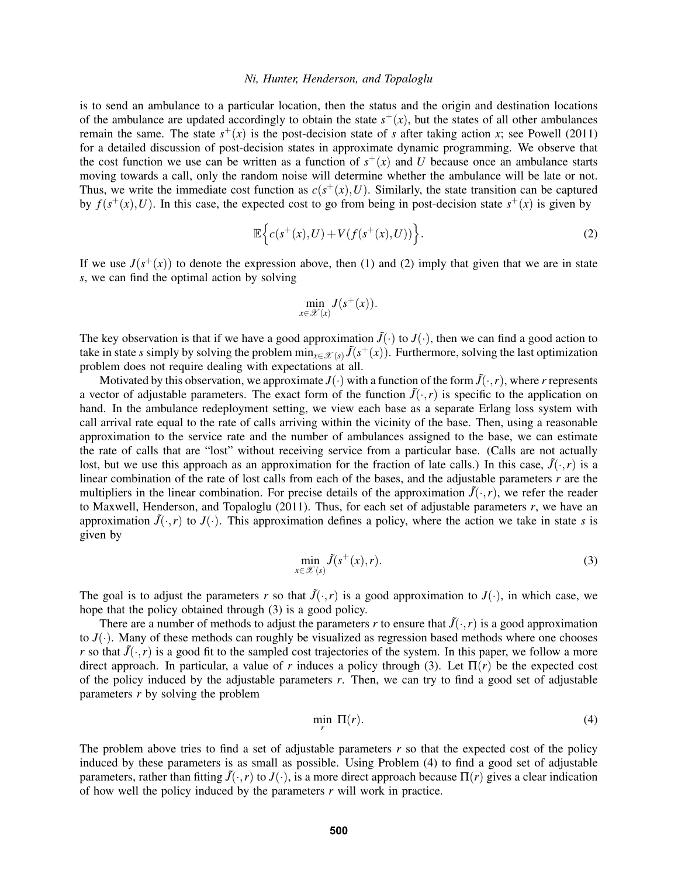is to send an ambulance to a particular location, then the status and the origin and destination locations of the ambulance are updated accordingly to obtain the state  $s^+(x)$ , but the states of all other ambulances remain the same. The state  $s^+(x)$  is the post-decision state of *s* after taking action *x*; see Powell (2011) for a detailed discussion of post-decision states in approximate dynamic programming. We observe that the cost function we use can be written as a function of  $s^+(x)$  and U because once an ambulance starts moving towards a call, only the random noise will determine whether the ambulance will be late or not. Thus, we write the immediate cost function as  $c(s^+(x), U)$ . Similarly, the state transition can be captured by  $f(s^+(x), U)$ . In this case, the expected cost to go from being in post-decision state  $s^+(x)$  is given by

$$
\mathbb{E}\Big\{c(s^+(x),U) + V(f(s^+(x),U))\Big\}.\tag{2}
$$

If we use  $J(s^+(x))$  to denote the expression above, then (1) and (2) imply that given that we are in state *s*, we can find the optimal action by solving

$$
\min_{x \in \mathcal{X}(x)} J(s^+(x)).
$$

The key observation is that if we have a good approximation  $\tilde{J}(\cdot)$  to  $J(\cdot)$ , then we can find a good action to take in state *s* simply by solving the problem  $\min_{x \in \mathcal{X}(s)} \tilde{J}(s^+(x))$ . Furthermore, solving the last optimization problem does not require dealing with expectations at all.

Motivated by this observation, we approximate  $J(\cdot)$  with a function of the form  $\tilde{J}(\cdot,r)$ , where *r* represents a vector of adjustable parameters. The exact form of the function  $\tilde{J}(\cdot,r)$  is specific to the application on hand. In the ambulance redeployment setting, we view each base as a separate Erlang loss system with call arrival rate equal to the rate of calls arriving within the vicinity of the base. Then, using a reasonable approximation to the service rate and the number of ambulances assigned to the base, we can estimate the rate of calls that are "lost" without receiving service from a particular base. (Calls are not actually lost, but we use this approach as an approximation for the fraction of late calls.) In this case,  $\tilde{J}(\cdot,r)$  is a linear combination of the rate of lost calls from each of the bases, and the adjustable parameters *r* are the multipliers in the linear combination. For precise details of the approximation  $\tilde{J}(\cdot,r)$ , we refer the reader to Maxwell, Henderson, and Topaloglu (2011). Thus, for each set of adjustable parameters  $r$ , we have an approximation  $\tilde{J}(\cdot,r)$  to  $J(\cdot)$ . This approximation defines a policy, where the action we take in state *s* is given by

$$
\min_{x \in \mathcal{X}(s)} \tilde{J}(s^+(x), r). \tag{3}
$$

The goal is to adjust the parameters *r* so that  $\tilde{J}(\cdot, r)$  is a good approximation to  $J(\cdot)$ , in which case, we hope that the policy obtained through (3) is a good policy.

There are a number of methods to adjust the parameters *r* to ensure that  $\tilde{J}(\cdot,r)$  is a good approximation to  $J(\cdot)$ . Many of these methods can roughly be visualized as regression based methods where one chooses *r* so that  $\tilde{J}(\cdot,r)$  is a good fit to the sampled cost trajectories of the system. In this paper, we follow a more direct approach. In particular, a value of r induces a policy through (3). Let  $\Pi(r)$  be the expected cost of the policy induced by the adjustable parameters *r*. Then, we can try to find a good set of adjustable parameters *r* by solving the problem

$$
\min_{r} \, \Pi(r). \tag{4}
$$

The problem above tries to find a set of adjustable parameters *r* so that the expected cost of the policy induced by these parameters is as small as possible. Using Problem (4) to find a good set of adjustable parameters, rather than fitting  $\tilde{J}(\cdot,r)$  to  $J(\cdot)$ , is a more direct approach because  $\Pi(r)$  gives a clear indication of how well the policy induced by the parameters *r* will work in practice.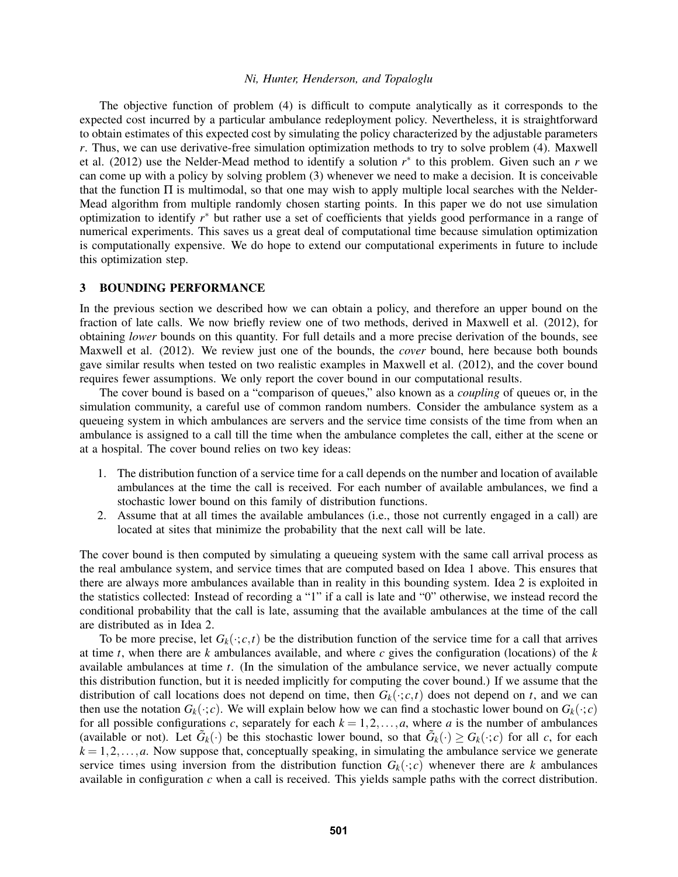The objective function of problem (4) is difficult to compute analytically as it corresponds to the expected cost incurred by a particular ambulance redeployment policy. Nevertheless, it is straightforward to obtain estimates of this expected cost by simulating the policy characterized by the adjustable parameters *r*. Thus, we can use derivative-free simulation optimization methods to try to solve problem (4). Maxwell et al. (2012) use the Nelder-Mead method to identify a solution  $r^*$  to this problem. Given such an  $r$  we can come up with a policy by solving problem (3) whenever we need to make a decision. It is conceivable that the function  $\Pi$  is multimodal, so that one may wish to apply multiple local searches with the Nelder-Mead algorithm from multiple randomly chosen starting points. In this paper we do not use simulation optimization to identify *r* <sup>∗</sup> but rather use a set of coefficients that yields good performance in a range of numerical experiments. This saves us a great deal of computational time because simulation optimization is computationally expensive. We do hope to extend our computational experiments in future to include this optimization step.

## 3 BOUNDING PERFORMANCE

In the previous section we described how we can obtain a policy, and therefore an upper bound on the fraction of late calls. We now briefly review one of two methods, derived in Maxwell et al. (2012), for obtaining *lower* bounds on this quantity. For full details and a more precise derivation of the bounds, see Maxwell et al. (2012). We review just one of the bounds, the *cover* bound, here because both bounds gave similar results when tested on two realistic examples in Maxwell et al. (2012), and the cover bound requires fewer assumptions. We only report the cover bound in our computational results.

The cover bound is based on a "comparison of queues," also known as a *coupling* of queues or, in the simulation community, a careful use of common random numbers. Consider the ambulance system as a queueing system in which ambulances are servers and the service time consists of the time from when an ambulance is assigned to a call till the time when the ambulance completes the call, either at the scene or at a hospital. The cover bound relies on two key ideas:

- 1. The distribution function of a service time for a call depends on the number and location of available ambulances at the time the call is received. For each number of available ambulances, we find a stochastic lower bound on this family of distribution functions.
- 2. Assume that at all times the available ambulances (i.e., those not currently engaged in a call) are located at sites that minimize the probability that the next call will be late.

The cover bound is then computed by simulating a queueing system with the same call arrival process as the real ambulance system, and service times that are computed based on Idea 1 above. This ensures that there are always more ambulances available than in reality in this bounding system. Idea 2 is exploited in the statistics collected: Instead of recording a "1" if a call is late and "0" otherwise, we instead record the conditional probability that the call is late, assuming that the available ambulances at the time of the call are distributed as in Idea 2.

To be more precise, let  $G_k(\cdot; c, t)$  be the distribution function of the service time for a call that arrives at time *t*, when there are *k* ambulances available, and where *c* gives the configuration (locations) of the *k* available ambulances at time *t*. (In the simulation of the ambulance service, we never actually compute this distribution function, but it is needed implicitly for computing the cover bound.) If we assume that the distribution of call locations does not depend on time, then  $G_k(\cdot; c, t)$  does not depend on *t*, and we can then use the notation  $G_k(\cdot;c)$ . We will explain below how we can find a stochastic lower bound on  $G_k(\cdot;c)$ for all possible configurations *c*, separately for each  $k = 1, 2, \ldots, a$ , where *a* is the number of ambulances (available or not). Let  $\tilde{G}_k(\cdot)$  be this stochastic lower bound, so that  $\tilde{G}_k(\cdot) \geq G_k(\cdot;c)$  for all *c*, for each  $k = 1, 2, \ldots, a$ . Now suppose that, conceptually speaking, in simulating the ambulance service we generate service times using inversion from the distribution function  $G_k(\cdot;c)$  whenever there are *k* ambulances available in configuration *c* when a call is received. This yields sample paths with the correct distribution.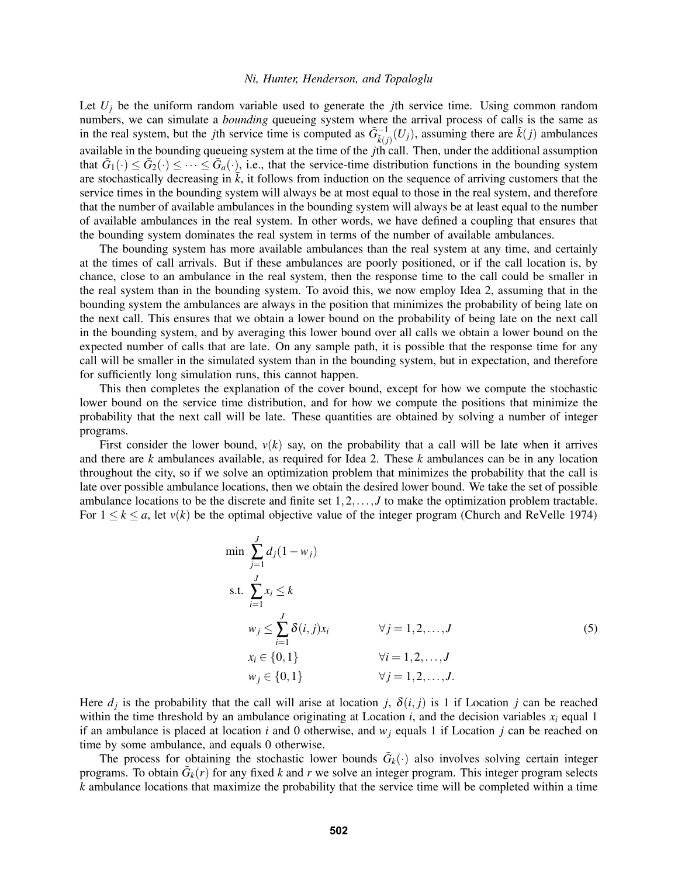Let  $U_j$  be the uniform random variable used to generate the *j*th service time. Using common random numbers, we can simulate a *bounding* queueing system where the arrival process of calls is the same as in the real system, but the *j*th service time is computed as  $\tilde{G}_{\vec{k}(j)}^{-1}(U_j)$ , assuming there are  $\tilde{k}(j)$  ambulances available in the bounding queueing system at the time of the *j*th call. Then, under the additional assumption that  $\tilde{G}_1(\cdot) \leq \tilde{G}_2(\cdot) \leq \cdots \leq \tilde{G}_a(\cdot)$ , i.e., that the service-time distribution functions in the bounding system are stochastically decreasing in  $\vec{k}$ , it follows from induction on the sequence of arriving customers that the service times in the bounding system will always be at most equal to those in the real system, and therefore that the number of available ambulances in the bounding system will always be at least equal to the number of available ambulances in the real system. In other words, we have defined a coupling that ensures that the bounding system dominates the real system in terms of the number of available ambulances.

The bounding system has more available ambulances than the real system at any time, and certainly at the times of call arrivals. But if these ambulances are poorly positioned, or if the call location is, by chance, close to an ambulance in the real system, then the response time to the call could be smaller in the real system than in the bounding system. To avoid this, we now employ Idea 2, assuming that in the bounding system the ambulances are always in the position that minimizes the probability of being late on the next call. This ensures that we obtain a lower bound on the probability of being late on the next call in the bounding system, and by averaging this lower bound over all calls we obtain a lower bound on the expected number of calls that are late. On any sample path, it is possible that the response time for any call will be smaller in the simulated system than in the bounding system, but in expectation, and therefore for sufficiently long simulation runs, this cannot happen.

This then completes the explanation of the cover bound, except for how we compute the stochastic lower bound on the service time distribution, and for how we compute the positions that minimize the probability that the next call will be late. These quantities are obtained by solving a number of integer programs.

First consider the lower bound,  $v(k)$  say, on the probability that a call will be late when it arrives and there are *k* ambulances available, as required for Idea 2. These *k* ambulances can be in any location throughout the city, so if we solve an optimization problem that minimizes the probability that the call is late over possible ambulance locations, then we obtain the desired lower bound. We take the set of possible ambulance locations to be the discrete and finite set 1,2,..., *J* to make the optimization problem tractable. For  $1 \le k \le a$ , let  $v(k)$  be the optimal objective value of the integer program (Church and ReVelle 1974)

$$
\min \sum_{j=1}^{J} d_j (1 - w_j)
$$
\n  
\n
$$
\text{s.t. } \sum_{i=1}^{J} x_i \le k
$$
\n
$$
w_j \le \sum_{i=1}^{J} \delta(i, j) x_i \qquad \forall j = 1, 2, ..., J
$$
\n
$$
x_i \in \{0, 1\} \qquad \forall i = 1, 2, ..., J
$$
\n
$$
w_j \in \{0, 1\} \qquad \forall j = 1, 2, ..., J.
$$
\n(5)

Here  $d_j$  is the probability that the call will arise at location *j*,  $\delta(i, j)$  is 1 if Location *j* can be reached within the time threshold by an ambulance originating at Location  $i$ , and the decision variables  $x_i$  equal 1 if an ambulance is placed at location  $i$  and 0 otherwise, and  $w_i$  equals 1 if Location  $j$  can be reached on time by some ambulance, and equals 0 otherwise.

The process for obtaining the stochastic lower bounds  $\tilde{G}_k(\cdot)$  also involves solving certain integer programs. To obtain  $\tilde{G}_k(r)$  for any fixed *k* and *r* we solve an integer program. This integer program selects *k* ambulance locations that maximize the probability that the service time will be completed within a time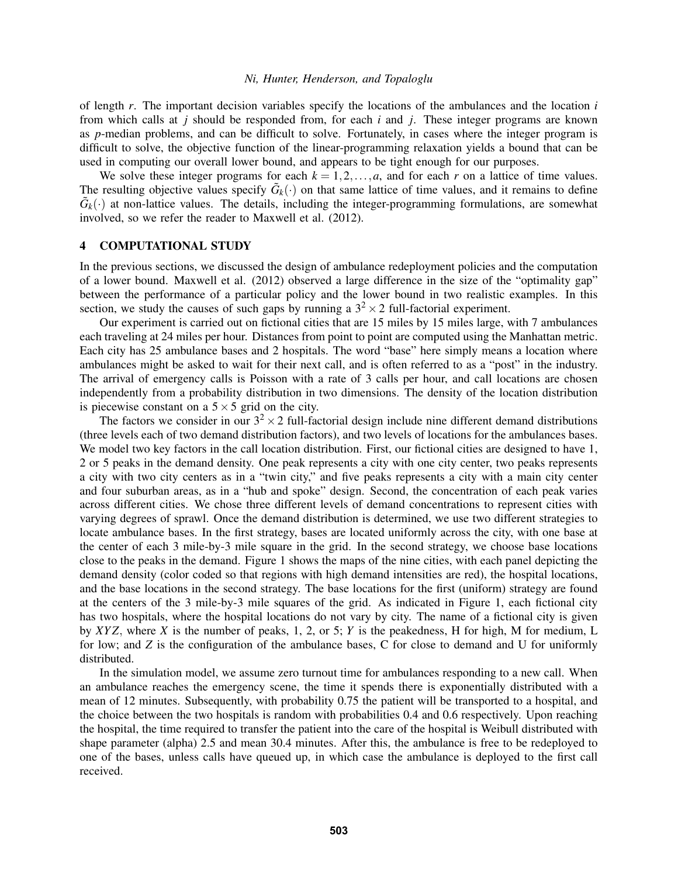of length *r*. The important decision variables specify the locations of the ambulances and the location *i* from which calls at *j* should be responded from, for each *i* and *j*. These integer programs are known as *p*-median problems, and can be difficult to solve. Fortunately, in cases where the integer program is difficult to solve, the objective function of the linear-programming relaxation yields a bound that can be used in computing our overall lower bound, and appears to be tight enough for our purposes.

We solve these integer programs for each  $k = 1, 2, \ldots, a$ , and for each *r* on a lattice of time values. The resulting objective values specify  $\tilde{G}_k(\cdot)$  on that same lattice of time values, and it remains to define  $\tilde{G}_k(\cdot)$  at non-lattice values. The details, including the integer-programming formulations, are somewhat involved, so we refer the reader to Maxwell et al. (2012).

#### 4 COMPUTATIONAL STUDY

In the previous sections, we discussed the design of ambulance redeployment policies and the computation of a lower bound. Maxwell et al. (2012) observed a large difference in the size of the "optimality gap" between the performance of a particular policy and the lower bound in two realistic examples. In this section, we study the causes of such gaps by running a  $3^2 \times 2$  full-factorial experiment.

Our experiment is carried out on fictional cities that are 15 miles by 15 miles large, with 7 ambulances each traveling at 24 miles per hour. Distances from point to point are computed using the Manhattan metric. Each city has 25 ambulance bases and 2 hospitals. The word "base" here simply means a location where ambulances might be asked to wait for their next call, and is often referred to as a "post" in the industry. The arrival of emergency calls is Poisson with a rate of 3 calls per hour, and call locations are chosen independently from a probability distribution in two dimensions. The density of the location distribution is piecewise constant on a  $5 \times 5$  grid on the city.

The factors we consider in our  $3^2 \times 2$  full-factorial design include nine different demand distributions (three levels each of two demand distribution factors), and two levels of locations for the ambulances bases. We model two key factors in the call location distribution. First, our fictional cities are designed to have 1, 2 or 5 peaks in the demand density. One peak represents a city with one city center, two peaks represents a city with two city centers as in a "twin city," and five peaks represents a city with a main city center and four suburban areas, as in a "hub and spoke" design. Second, the concentration of each peak varies across different cities. We chose three different levels of demand concentrations to represent cities with varying degrees of sprawl. Once the demand distribution is determined, we use two different strategies to locate ambulance bases. In the first strategy, bases are located uniformly across the city, with one base at the center of each 3 mile-by-3 mile square in the grid. In the second strategy, we choose base locations close to the peaks in the demand. Figure 1 shows the maps of the nine cities, with each panel depicting the demand density (color coded so that regions with high demand intensities are red), the hospital locations, and the base locations in the second strategy. The base locations for the first (uniform) strategy are found at the centers of the 3 mile-by-3 mile squares of the grid. As indicated in Figure 1, each fictional city has two hospitals, where the hospital locations do not vary by city. The name of a fictional city is given by *XY Z*, where *X* is the number of peaks, 1, 2, or 5; *Y* is the peakedness, H for high, M for medium, L for low; and *Z* is the configuration of the ambulance bases, C for close to demand and U for uniformly distributed.

In the simulation model, we assume zero turnout time for ambulances responding to a new call. When an ambulance reaches the emergency scene, the time it spends there is exponentially distributed with a mean of 12 minutes. Subsequently, with probability 0.75 the patient will be transported to a hospital, and the choice between the two hospitals is random with probabilities 0.4 and 0.6 respectively. Upon reaching the hospital, the time required to transfer the patient into the care of the hospital is Weibull distributed with shape parameter (alpha) 2.5 and mean 30.4 minutes. After this, the ambulance is free to be redeployed to one of the bases, unless calls have queued up, in which case the ambulance is deployed to the first call received.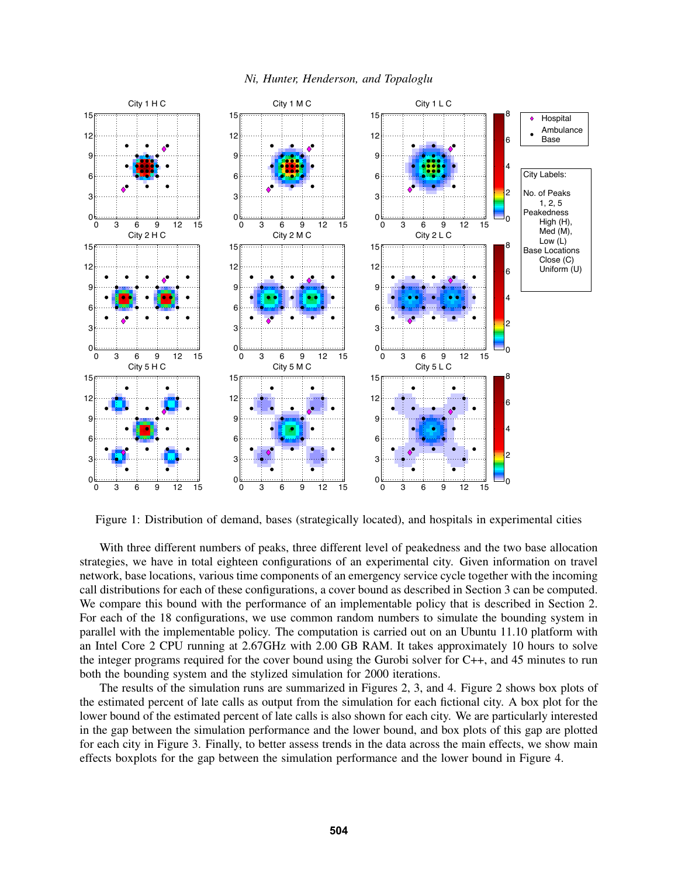



Figure 1: Distribution of demand, bases (strategically located), and hospitals in experimental cities

With three different numbers of peaks, three different level of peakedness and the two base allocation strategies, we have in total eighteen configurations of an experimental city. Given information on travel network, base locations, various time components of an emergency service cycle together with the incoming call distributions for each of these configurations, a cover bound as described in Section 3 can be computed. We compare this bound with the performance of an implementable policy that is described in Section 2. For each of the 18 configurations, we use common random numbers to simulate the bounding system in parallel with the implementable policy. The computation is carried out on an Ubuntu 11.10 platform with an Intel Core 2 CPU running at 2.67GHz with 2.00 GB RAM. It takes approximately 10 hours to solve the integer programs required for the cover bound using the Gurobi solver for C++, and 45 minutes to run both the bounding system and the stylized simulation for 2000 iterations.

The results of the simulation runs are summarized in Figures 2, 3, and 4. Figure 2 shows box plots of the estimated percent of late calls as output from the simulation for each fictional city. A box plot for the lower bound of the estimated percent of late calls is also shown for each city. We are particularly interested in the gap between the simulation performance and the lower bound, and box plots of this gap are plotted for each city in Figure 3. Finally, to better assess trends in the data across the main effects, we show main effects boxplots for the gap between the simulation performance and the lower bound in Figure 4.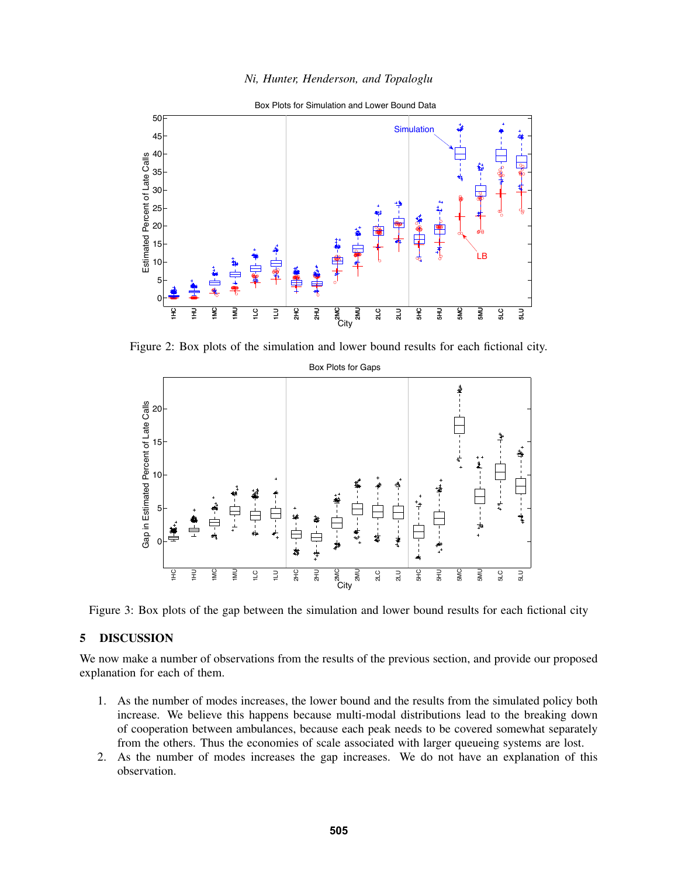*Ni, Hunter, Henderson, and Topaloglu*



Box Plots for Simulation and Lower Bound Data

Figure 2: Box plots of the simulation and lower bound results for each fictional city.



Figure 3: Box plots of the gap between the simulation and lower bound results for each fictional city

### 5 DISCUSSION

We now make a number of observations from the results of the previous section, and provide our proposed explanation for each of them.

- 1. As the number of modes increases, the lower bound and the results from the simulated policy both increase. We believe this happens because multi-modal distributions lead to the breaking down of cooperation between ambulances, because each peak needs to be covered somewhat separately from the others. Thus the economies of scale associated with larger queueing systems are lost.
- 2. As the number of modes increases the gap increases. We do not have an explanation of this observation.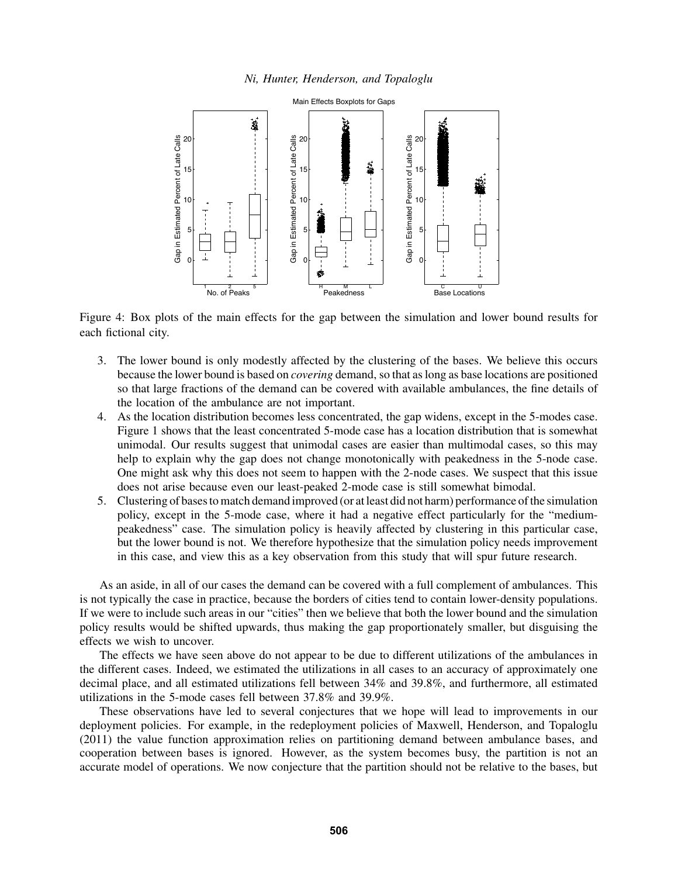

Figure 4: Box plots of the main effects for the gap between the simulation and lower bound results for each fictional city.

- 3. The lower bound is only modestly affected by the clustering of the bases. We believe this occurs because the lower bound is based on *covering* demand, so that as long as base locations are positioned so that large fractions of the demand can be covered with available ambulances, the fine details of the location of the ambulance are not important.
- 4. As the location distribution becomes less concentrated, the gap widens, except in the 5-modes case. Figure 1 shows that the least concentrated 5-mode case has a location distribution that is somewhat unimodal. Our results suggest that unimodal cases are easier than multimodal cases, so this may help to explain why the gap does not change monotonically with peakedness in the 5-node case. One might ask why this does not seem to happen with the 2-node cases. We suspect that this issue does not arise because even our least-peaked 2-mode case is still somewhat bimodal.
- 5. Clustering of bases to match demand improved (or at least did not harm) performance of the simulation policy, except in the 5-mode case, where it had a negative effect particularly for the "mediumpeakedness" case. The simulation policy is heavily affected by clustering in this particular case, but the lower bound is not. We therefore hypothesize that the simulation policy needs improvement in this case, and view this as a key observation from this study that will spur future research.

As an aside, in all of our cases the demand can be covered with a full complement of ambulances. This is not typically the case in practice, because the borders of cities tend to contain lower-density populations. If we were to include such areas in our "cities" then we believe that both the lower bound and the simulation policy results would be shifted upwards, thus making the gap proportionately smaller, but disguising the effects we wish to uncover.

The effects we have seen above do not appear to be due to different utilizations of the ambulances in the different cases. Indeed, we estimated the utilizations in all cases to an accuracy of approximately one decimal place, and all estimated utilizations fell between 34% and 39.8%, and furthermore, all estimated utilizations in the 5-mode cases fell between 37.8% and 39.9%.

These observations have led to several conjectures that we hope will lead to improvements in our deployment policies. For example, in the redeployment policies of Maxwell, Henderson, and Topaloglu (2011) the value function approximation relies on partitioning demand between ambulance bases, and cooperation between bases is ignored. However, as the system becomes busy, the partition is not an accurate model of operations. We now conjecture that the partition should not be relative to the bases, but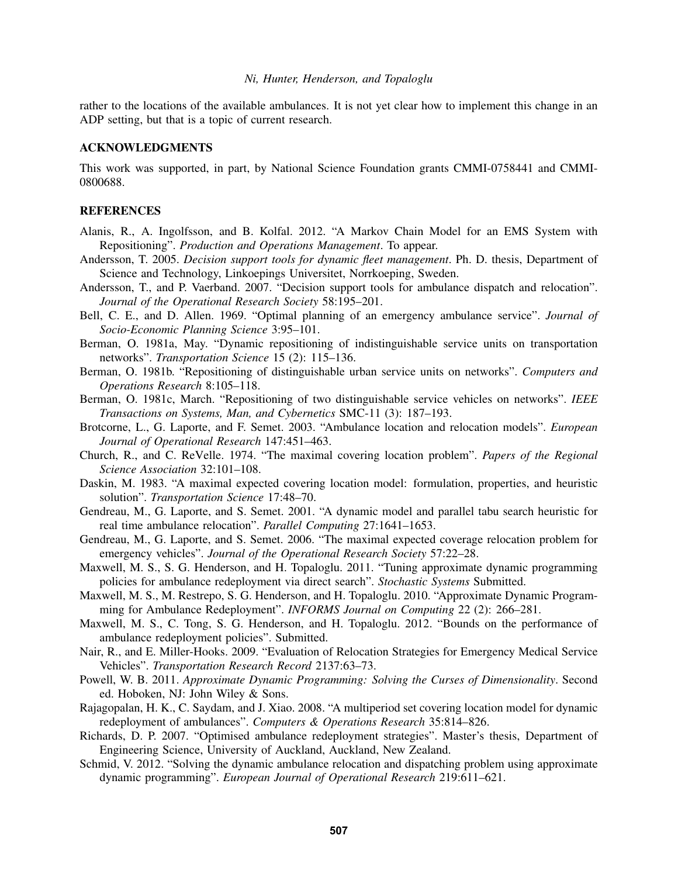rather to the locations of the available ambulances. It is not yet clear how to implement this change in an ADP setting, but that is a topic of current research.

#### ACKNOWLEDGMENTS

This work was supported, in part, by National Science Foundation grants CMMI-0758441 and CMMI-0800688.

### **REFERENCES**

- Alanis, R., A. Ingolfsson, and B. Kolfal. 2012. "A Markov Chain Model for an EMS System with Repositioning". *Production and Operations Management*. To appear.
- Andersson, T. 2005. *Decision support tools for dynamic fleet management*. Ph. D. thesis, Department of Science and Technology, Linkoepings Universitet, Norrkoeping, Sweden.
- Andersson, T., and P. Vaerband. 2007. "Decision support tools for ambulance dispatch and relocation". *Journal of the Operational Research Society* 58:195–201.
- Bell, C. E., and D. Allen. 1969. "Optimal planning of an emergency ambulance service". *Journal of Socio-Economic Planning Science* 3:95–101.
- Berman, O. 1981a, May. "Dynamic repositioning of indistinguishable service units on transportation networks". *Transportation Science* 15 (2): 115–136.
- Berman, O. 1981b. "Repositioning of distinguishable urban service units on networks". *Computers and Operations Research* 8:105–118.
- Berman, O. 1981c, March. "Repositioning of two distinguishable service vehicles on networks". *IEEE Transactions on Systems, Man, and Cybernetics* SMC-11 (3): 187–193.
- Brotcorne, L., G. Laporte, and F. Semet. 2003. "Ambulance location and relocation models". *European Journal of Operational Research* 147:451–463.
- Church, R., and C. ReVelle. 1974. "The maximal covering location problem". *Papers of the Regional Science Association* 32:101–108.
- Daskin, M. 1983. "A maximal expected covering location model: formulation, properties, and heuristic solution". *Transportation Science* 17:48–70.
- Gendreau, M., G. Laporte, and S. Semet. 2001. "A dynamic model and parallel tabu search heuristic for real time ambulance relocation". *Parallel Computing* 27:1641–1653.
- Gendreau, M., G. Laporte, and S. Semet. 2006. "The maximal expected coverage relocation problem for emergency vehicles". *Journal of the Operational Research Society* 57:22–28.
- Maxwell, M. S., S. G. Henderson, and H. Topaloglu. 2011. "Tuning approximate dynamic programming policies for ambulance redeployment via direct search". *Stochastic Systems* Submitted.
- Maxwell, M. S., M. Restrepo, S. G. Henderson, and H. Topaloglu. 2010. "Approximate Dynamic Programming for Ambulance Redeployment". *INFORMS Journal on Computing* 22 (2): 266–281.
- Maxwell, M. S., C. Tong, S. G. Henderson, and H. Topaloglu. 2012. "Bounds on the performance of ambulance redeployment policies". Submitted.
- Nair, R., and E. Miller-Hooks. 2009. "Evaluation of Relocation Strategies for Emergency Medical Service Vehicles". *Transportation Research Record* 2137:63–73.
- Powell, W. B. 2011. *Approximate Dynamic Programming: Solving the Curses of Dimensionality*. Second ed. Hoboken, NJ: John Wiley & Sons.
- Rajagopalan, H. K., C. Saydam, and J. Xiao. 2008. "A multiperiod set covering location model for dynamic redeployment of ambulances". *Computers & Operations Research* 35:814–826.
- Richards, D. P. 2007. "Optimised ambulance redeployment strategies". Master's thesis, Department of Engineering Science, University of Auckland, Auckland, New Zealand.
- Schmid, V. 2012. "Solving the dynamic ambulance relocation and dispatching problem using approximate dynamic programming". *European Journal of Operational Research* 219:611–621.